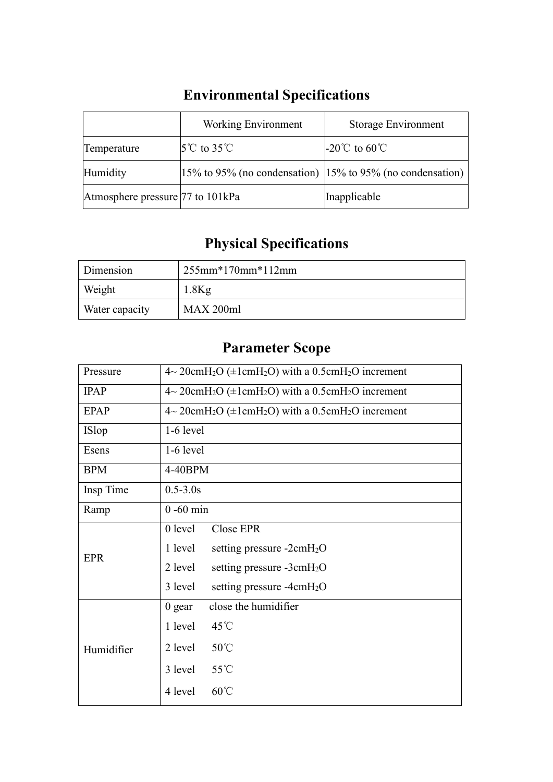|                                  | <b>Working Environment</b>                                        | Storage Environment |
|----------------------------------|-------------------------------------------------------------------|---------------------|
| Temperature                      | $5^{\circ}$ C to 35 $^{\circ}$ C                                  | $\sim$ -20℃ to 60℃  |
| Humidity                         | $ 15\%$ to 95% (no condensation) $ 15\%$ to 95% (no condensation) |                     |
| Atmosphere pressure 77 to 101kPa |                                                                   | Inapplicable        |

## **Environmental Specifications**

# **Physical Specifications**

| Dimension      | $255$ mm* $170$ mm* $112$ mm |
|----------------|------------------------------|
| Weight         | $1.8$ Kg                     |
| Water capacity | MAX 200ml                    |

### **Parameter Scope**

| Pressure    | $4\sim 20$ cmH <sub>2</sub> O ( $\pm 1$ cmH <sub>2</sub> O) with a 0.5cmH <sub>2</sub> O increment |
|-------------|----------------------------------------------------------------------------------------------------|
| <b>IPAP</b> | $4\sim 20$ cmH <sub>2</sub> O ( $\pm 1$ cmH <sub>2</sub> O) with a 0.5cmH <sub>2</sub> O increment |
| <b>EPAP</b> | $4\sim 20$ cmH <sub>2</sub> O ( $\pm 1$ cmH <sub>2</sub> O) with a 0.5cmH <sub>2</sub> O increment |
| ISlop       | $1-6$ level                                                                                        |
| Esens       | $1-6$ level                                                                                        |
| <b>BPM</b>  | 4-40BPM                                                                                            |
| Insp Time   | $0.5 - 3.0s$                                                                                       |
| Ramp        | $0 - 60$ min                                                                                       |
|             | 0 level<br>Close EPR                                                                               |
| <b>EPR</b>  | 1 level<br>setting pressure $-2$ cm $H_2O$                                                         |
|             | 2 level<br>setting pressure -3cmH <sub>2</sub> O                                                   |
|             | 3 level<br>setting pressure $-4$ cm $H_2O$                                                         |
|             | close the humidifier<br>$0$ gear                                                                   |
|             | 45°C<br>1 level                                                                                    |
| Humidifier  | $50^{\circ}$ C<br>2 level                                                                          |
|             | 55°C<br>3 level                                                                                    |
|             | $60^{\circ}$ C<br>4 level                                                                          |
|             |                                                                                                    |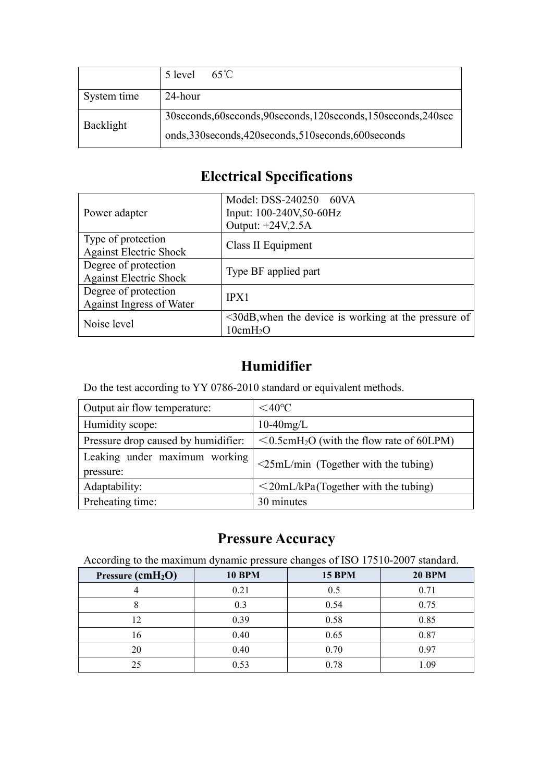|             | $65^{\circ}$ C<br>5 level                                             |
|-------------|-----------------------------------------------------------------------|
| System time | 24-hour                                                               |
| Backlight   | 30 seconds, 60 seconds, 90 seconds, 120 seconds, 150 seconds, 240 sec |
|             | onds, 330 seconds, 420 seconds, 510 seconds, 600 seconds              |

### **Electrical Specifications**

|                               | Model: DSS-240250 60VA                                     |
|-------------------------------|------------------------------------------------------------|
| Power adapter                 | Input: 100-240V,50-60Hz                                    |
|                               | Output: +24V,2.5A                                          |
| Type of protection            | Class II Equipment                                         |
| <b>Against Electric Shock</b> |                                                            |
| Degree of protection          | Type BF applied part                                       |
| <b>Against Electric Shock</b> |                                                            |
| Degree of protection          | IPX1                                                       |
| Against Ingress of Water      |                                                            |
| Noise level                   | $\leq$ 30dB, when the device is working at the pressure of |
|                               | 10cmH <sub>2</sub> O                                       |

#### **Humidifier**

Do the test according to YY 0786-2010 standard or equivalent methods.

| Output air flow temperature:               | $<$ 40 $\degree$ C                                          |
|--------------------------------------------|-------------------------------------------------------------|
| Humidity scope:                            | $10-40$ mg/L                                                |
| Pressure drop caused by humidifier:        | $\leq 0.5$ cmH <sub>2</sub> O (with the flow rate of 60LPM) |
| Leaking under maximum working<br>pressure: | $\leq$ 25mL/min (Together with the tubing)                  |
| Adaptability:                              | $\leq$ 20mL/kPa(Together with the tubing)                   |
| Preheating time:                           | 30 minutes                                                  |

#### **Pressure Accuracy**

According to the maximum dynamic pressure changes of ISO 17510-2007 standard.

| Pressure (cmH <sub>2</sub> O) | <b>10 BPM</b> | <b>15 BPM</b> | <b>20 BPM</b> |
|-------------------------------|---------------|---------------|---------------|
|                               | 0.21          | 0.5           | 0.71          |
|                               | 0.3           | 0.54          | 0.75          |
|                               | 0.39          | 0.58          | 0.85          |
| $10^{-7}$                     | 0.40          | 0.65          | 0.87          |
| 20                            | 0.40          | 0.70          | 0.97          |
| 25                            | 0.53          | 0.78          | 1.09          |